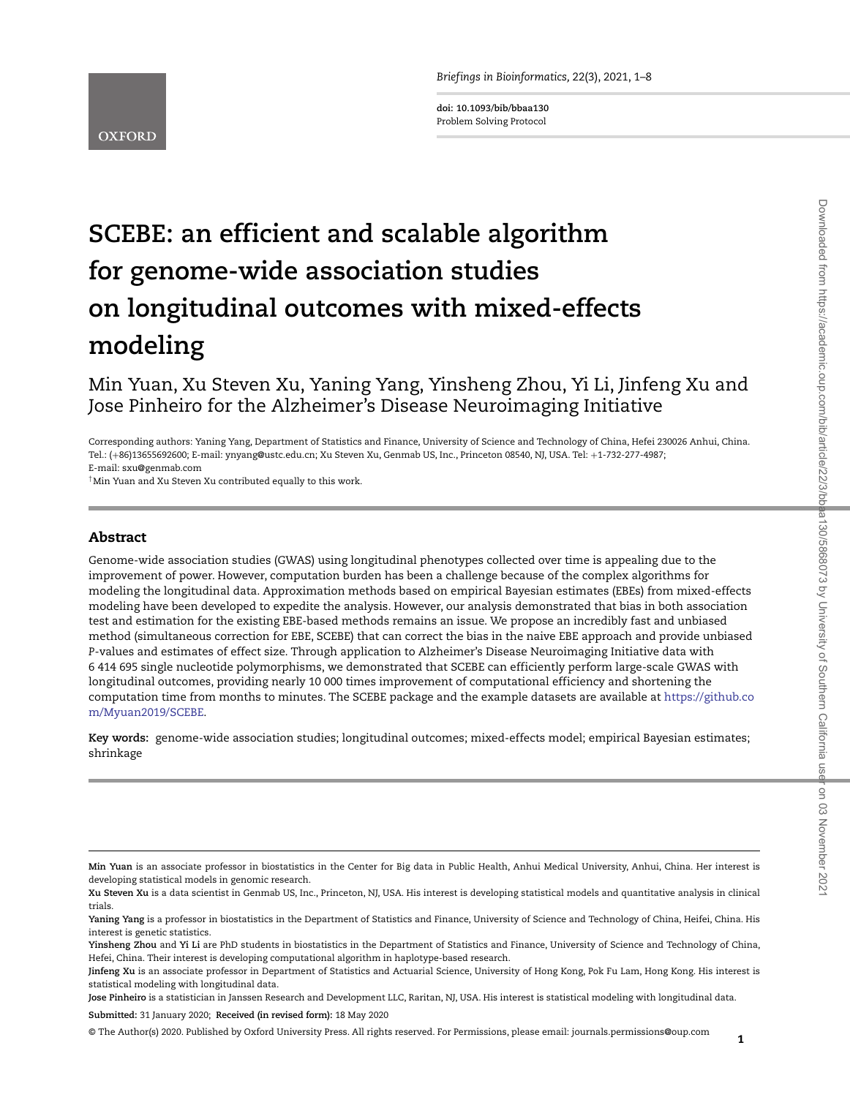*Briefings in Bioinformatics,* 22(3), 2021, 1–8

**doi: 10.1093/bib/bbaa130** Problem Solving Protocol



# **SCEBE: an efficient and scalable algorithm for genome-wide association studies on longitudinal outcomes with mixed-effects modeling**

## Min Yuan, Xu Steven Xu, Yaning Yang, Yinsheng Zhou, Yi Li, Jinfeng Xu and Jose Pinheiro for the Alzheimer's Disease Neuroimaging Initiative

Corresponding authors: Yaning Yang, Department of Statistics and Finance, University of Science and Technology of China, Hefei 230026 Anhui, China. Tel.: (+86)13655692600; E-mail: ynyang@ustc.edu.cn; Xu Steven Xu, Genmab US, Inc., Princeton 08540, NJ, USA. Tel: +1-732-277-4987; E-mail: sxu@genmab.com

†Min Yuan and Xu Steven Xu contributed equally to this work.

## **Abstract**

Genome-wide association studies (GWAS) using longitudinal phenotypes collected over time is appealing due to the improvement of power. However, computation burden has been a challenge because of the complex algorithms for modeling the longitudinal data. Approximation methods based on empirical Bayesian estimates (EBEs) from mixed-effects modeling have been developed to expedite the analysis. However, our analysis demonstrated that bias in both association test and estimation for the existing EBE-based methods remains an issue. We propose an incredibly fast and unbiased method (simultaneous correction for EBE, SCEBE) that can correct the bias in the naive EBE approach and provide unbiased *P*-values and estimates of effect size. Through application to Alzheimer's Disease Neuroimaging Initiative data with 6 414 695 single nucleotide polymorphisms, we demonstrated that SCEBE can efficiently perform large-scale GWAS with longitudinal outcomes, providing nearly 10 000 times improvement of computational efficiency and shortening the computation time from months to minutes. The SCEBE package and the example datasets are available at [https://github.co](https://github.com/Myuan2019/SCEBE) [m/Myuan2019/SCEBE.](https://github.com/Myuan2019/SCEBE)

**Key words:** genome-wide association studies; longitudinal outcomes; mixed-effects model; empirical Bayesian estimates; shrinkage

**Jose Pinheiro** is a statistician in Janssen Research and Development LLC, Raritan, NJ, USA. His interest is statistical modeling with longitudinal data.

**Submitted:** 31 January 2020; **Received (in revised form):** 18 May 2020

© The Author(s) 2020. Published by Oxford University Press. All rights reserved. For Permissions, please email: journals.permissions@oup.com

**Min Yuan** is an associate professor in biostatistics in the Center for Big data in Public Health, Anhui Medical University, Anhui, China. Her interest is developing statistical models in genomic research.

**Xu Steven Xu** is a data scientist in Genmab US, Inc., Princeton, NJ, USA. His interest is developing statistical models and quantitative analysis in clinical trials.

**Yaning Yang** is a professor in biostatistics in the Department of Statistics and Finance, University of Science and Technology of China, Heifei, China. His interest is genetic statistics.

**Yinsheng Zhou** and **Yi Li** are PhD students in biostatistics in the Department of Statistics and Finance, University of Science and Technology of China, Hefei, China. Their interest is developing computational algorithm in haplotype-based research.

**Jinfeng Xu** is an associate professor in Department of Statistics and Actuarial Science, University of Hong Kong, Pok Fu Lam, Hong Kong. His interest is statistical modeling with longitudinal data.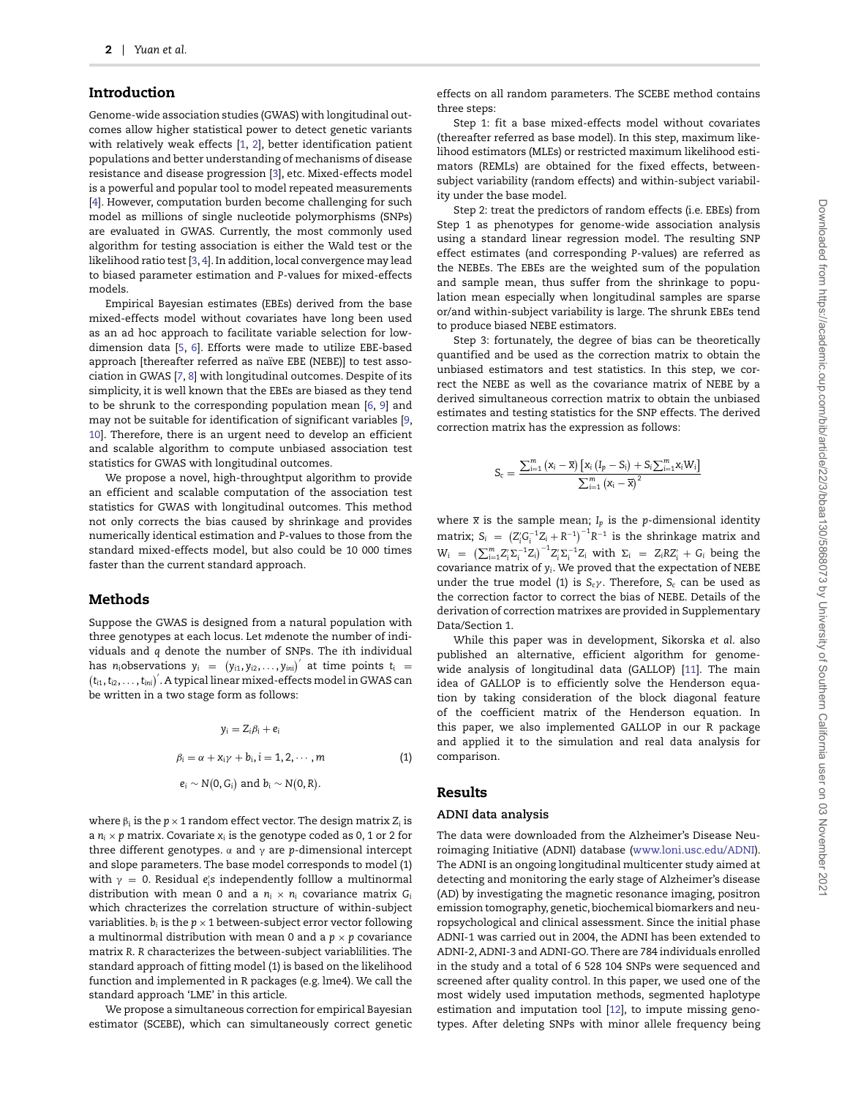## **Introduction**

Genome-wide association studies (GWAS) with longitudinal outcomes allow higher statistical power to detect genetic variants with relatively weak effects [\[1,](#page-6-0) [2\]](#page-6-1), better identification patient populations and better understanding of mechanisms of disease resistance and disease progression [\[3\]](#page-6-2), etc. Mixed-effects model is a powerful and popular tool to model repeated measurements [\[4\]](#page-6-3). However, computation burden become challenging for such model as millions of single nucleotide polymorphisms (SNPs) are evaluated in GWAS. Currently, the most commonly used algorithm for testing association is either the Wald test or the likelihood ratio test [\[3,](#page-6-2) [4\]](#page-6-3). In addition, local convergence may lead to biased parameter estimation and *P*-values for mixed-effects models.

Empirical Bayesian estimates (EBEs) derived from the base mixed-effects model without covariates have long been used as an ad hoc approach to facilitate variable selection for lowdimension data [\[5,](#page-6-4) [6\]](#page-6-5). Efforts were made to utilize EBE-based approach [thereafter referred as naïve EBE (NEBE)] to test association in GWAS [\[7,](#page-6-6) [8\]](#page-6-7) with longitudinal outcomes. Despite of its simplicity, it is well known that the EBEs are biased as they tend to be shrunk to the corresponding population mean [\[6,](#page-6-5) [9\]](#page-6-8) and may not be suitable for identification of significant variables [\[9,](#page-6-8) [10\]](#page-6-9). Therefore, there is an urgent need to develop an efficient and scalable algorithm to compute unbiased association test statistics for GWAS with longitudinal outcomes.

We propose a novel, high-throughtput algorithm to provide an efficient and scalable computation of the association test statistics for GWAS with longitudinal outcomes. This method not only corrects the bias caused by shrinkage and provides numerically identical estimation and *P*-values to those from the standard mixed-effects model, but also could be 10 000 times faster than the current standard approach.

## **Methods**

Suppose the GWAS is designed from a natural population with three genotypes at each locus. Let *m*denote the number of individuals and *q* denote the number of SNPs. The *i*th individual has *n*<sub>i</sub>observations  $y_i = (y_{i1}, y_{i2}, \ldots, y_{ini})'$  at time points  $t_i =$  $(t_\text{id}, t_\text{id}, \ldots, t_\text{ini})'$ . A typical linear mixed-effects model in GWAS can be written in a two stage form as follows:

$$
y_i = Z_i \beta_i + e_i
$$
  
\n
$$
\beta_i = \alpha + x_i \gamma + b_i, i = 1, 2, \dots, m
$$
  
\n
$$
e_i \sim N(0, G_i) \text{ and } b_i \sim N(0, R).
$$
  
\n(1)

where  $\beta_i$  is the  $p \times 1$  random effect vector. The design matrix  $Z_i$  is a  $n_i \times p$  matrix. Covariate  $x_i$  is the genotype coded as 0, 1 or 2 for three different genotypes. α and γ are *p*-dimensional intercept and slope parameters. The base model corresponds to model (1) with  $\gamma = 0$ . Residual  $e'_i$ s independently folllow a multinormal distribution with mean 0 and a  $n_i \times n_i$  covariance matrix  $G_i$ which chracterizes the correlation structure of within-subject variablities.  $b_i$  is the  $p \times 1$  between-subject error vector following a multinormal distribution with mean 0 and a  $p \times p$  covariance matrix *R*. *R* characterizes the between-subject variablilities. The standard approach of fitting model (1) is based on the likelihood function and implemented in R packages (e.g. lme4). We call the standard approach 'LME' in this article.

We propose a simultaneous correction for empirical Bayesian estimator (SCEBE), which can simultaneously correct genetic effects on all random parameters. The SCEBE method contains three steps:

Step 1: fit a base mixed-effects model without covariates (thereafter referred as base model). In this step, maximum likelihood estimators (MLEs) or restricted maximum likelihood estimators (REMLs) are obtained for the fixed effects, betweensubject variability (random effects) and within-subject variability under the base model.

Step 2: treat the predictors of random effects (i.e. EBEs) from Step 1 as phenotypes for genome-wide association analysis using a standard linear regression model. The resulting SNP effect estimates (and corresponding *P*-values) are referred as the NEBEs. The EBEs are the weighted sum of the population and sample mean, thus suffer from the shrinkage to population mean especially when longitudinal samples are sparse or/and within-subject variability is large. The shrunk EBEs tend to produce biased NEBE estimators.

Step 3: fortunately, the degree of bias can be theoretically quantified and be used as the correction matrix to obtain the unbiased estimators and test statistics. In this step, we correct the NEBE as well as the covariance matrix of NEBE by a derived simultaneous correction matrix to obtain the unbiased estimates and testing statistics for the SNP effects. The derived correction matrix has the expression as follows:

$$
S_c=\frac{\sum_{i=1}^{m}\left(x_i-\overline{x}\right)\left[x_i\left(l_p-S_i\right)+S_i\sum_{i=1}^{m}x_iW_i\right]}{\sum_{i=1}^{m}\left(x_i-\overline{x}\right)^2}
$$

where  $\bar{x}$  is the sample mean;  $I_p$  is the *p*-dimensional identity matrix;  $S_i = (Z_i' G_i^{-1} Z_i + R^{-1})^{-1} R^{-1}$  is the shrinkage matrix and  $W_i = \left( \sum_{i=1}^m Z_i' \Sigma_i^{-1} Z_i \right)^{-1} Z_i' \Sigma_i^{-1} Z_i$  with  $\Sigma_i = Z_i R Z_i' + G_i$  being the covariance matrix of *yi*. We proved that the expectation of NEBE under the true model (1) is *S<sub>c</sub>γ*. Therefore, *S<sub>c</sub>* can be used as the correction factor to correct the bias of NEBE. Details of the derivation of correction matrixes are provided in Supplementary Data/Section 1.

While this paper was in development, Sikorska *et al*. also published an alternative, efficient algorithm for genomewide analysis of longitudinal data (GALLOP) [\[11\]](#page-6-10). The main idea of GALLOP is to efficiently solve the Henderson equation by taking consideration of the block diagonal feature of the coefficient matrix of the Henderson equation. In this paper, we also implemented GALLOP in our R package and applied it to the simulation and real data analysis for comparison.

## **Results**

#### **ADNI data analysis**

The data were downloaded from the Alzheimer's Disease Neuroimaging Initiative (ADNI) database [\(www.loni.usc.edu/ADNI\)](www.loni.usc.edu/ADNI). The ADNI is an ongoing longitudinal multicenter study aimed at detecting and monitoring the early stage of Alzheimer's disease (AD) by investigating the magnetic resonance imaging, positron emission tomography, genetic, biochemical biomarkers and neuropsychological and clinical assessment. Since the initial phase ADNI-1 was carried out in 2004, the ADNI has been extended to ADNI-2, ADNI-3 and ADNI-GO. There are 784 individuals enrolled in the study and a total of 6 528 104 SNPs were sequenced and screened after quality control. In this paper, we used one of the most widely used imputation methods, segmented haplotype estimation and imputation tool [\[12\]](#page-7-0), to impute missing genotypes. After deleting SNPs with minor allele frequency being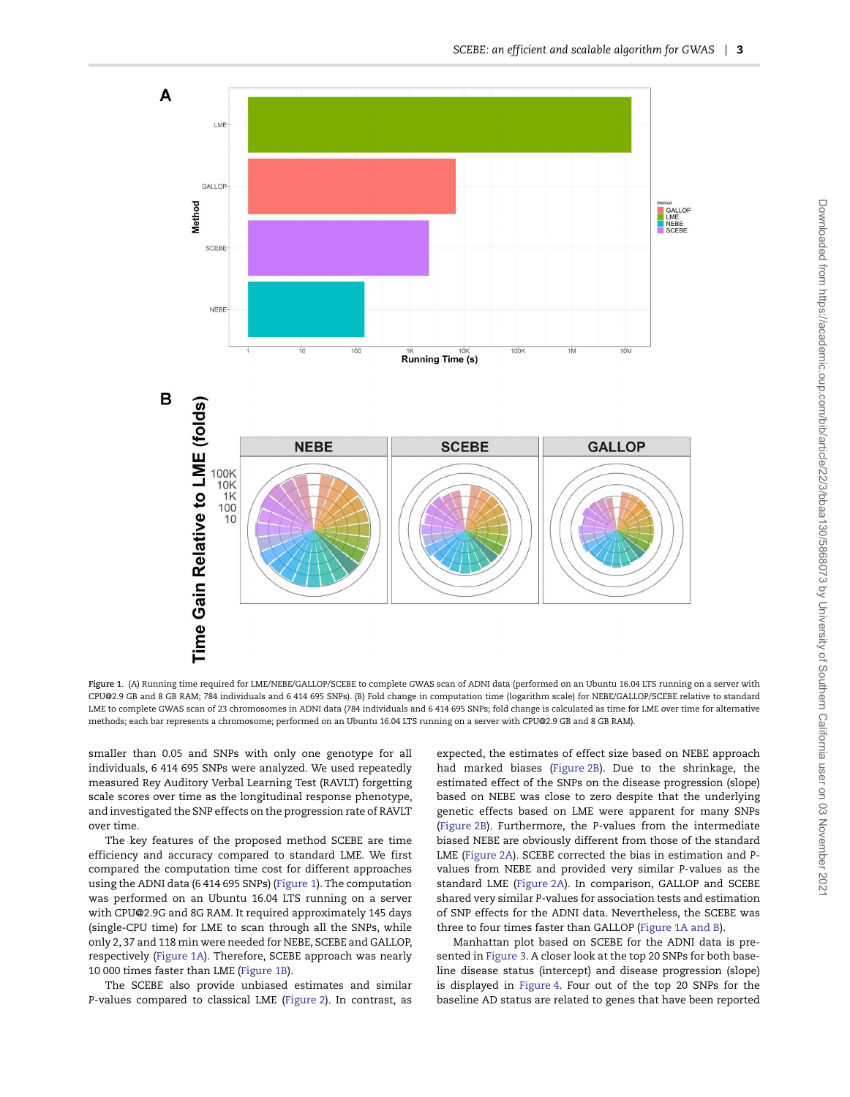

<span id="page-2-0"></span>**Figure 1**. (A) Running time required for LME/NEBE/GALLOP/SCEBE to complete GWAS scan of ADNI data (performed on an Ubuntu 16.04 LTS running on a server with CPU@2.9 GB and 8 GB RAM; 784 individuals and 6 414 695 SNPs). (B) Fold change in computation time (logarithm scale) for NEBE/GALLOP/SCEBE relative to standard LME to complete GWAS scan of 23 chromosomes in ADNI data (784 individuals and 6 414 695 SNPs; fold change is calculated as time for LME over time for alternative methods; each bar represents a chromosome; performed on an Ubuntu 16.04 LTS running on a server with CPU@2.9 GB and 8 GB RAM).

smaller than 0.05 and SNPs with only one genotype for all individuals, 6 414 695 SNPs were analyzed. We used repeatedly measured Rey Auditory Verbal Learning Test (RAVLT) forgetting scale scores over time as the longitudinal response phenotype, and investigated the SNP effects on the progression rate of RAVLT over time.

The key features of the proposed method SCEBE are time efficiency and accuracy compared to standard LME. We first compared the computation time cost for different approaches using the ADNI data (6 414 695 SNPs) [\(Figure 1\)](#page-2-0). The computation was performed on an Ubuntu 16.04 LTS running on a server with CPU@2.9G and 8G RAM. It required approximately 145 days (single-CPU time) for LME to scan through all the SNPs, while only 2, 37 and 118 min were needed for NEBE, SCEBE and GALLOP, respectively [\(Figure 1A\)](#page-2-0). Therefore, SCEBE approach was nearly 10 000 times faster than LME [\(Figure 1B\)](#page-2-0).

The SCEBE also provide unbiased estimates and similar *P*-values compared to classical LME [\(Figure 2\)](#page-3-0). In contrast, as expected, the estimates of effect size based on NEBE approach had marked biases [\(Figure 2B\)](#page-3-0). Due to the shrinkage, the estimated effect of the SNPs on the disease progression (slope) based on NEBE was close to zero despite that the underlying genetic effects based on LME were apparent for many SNPs [\(Figure 2B\)](#page-3-0). Furthermore, the *P*-values from the intermediate biased NEBE are obviously different from those of the standard LME [\(Figure 2A\)](#page-3-0). SCEBE corrected the bias in estimation and *P*values from NEBE and provided very similar *P*-values as the standard LME [\(Figure 2A\)](#page-3-0). In comparison, GALLOP and SCEBE shared very similar *P*-values for association tests and estimation of SNP effects for the ADNI data. Nevertheless, the SCEBE was three to four times faster than GALLOP [\(Figure 1A and B\)](#page-2-0).

Manhattan plot based on SCEBE for the ADNI data is presented in [Figure 3.](#page-4-0) A closer look at the top 20 SNPs for both baseline disease status (intercept) and disease progression (slope) is displayed in [Figure 4.](#page-5-0) Four out of the top 20 SNPs for the baseline AD status are related to genes that have been reported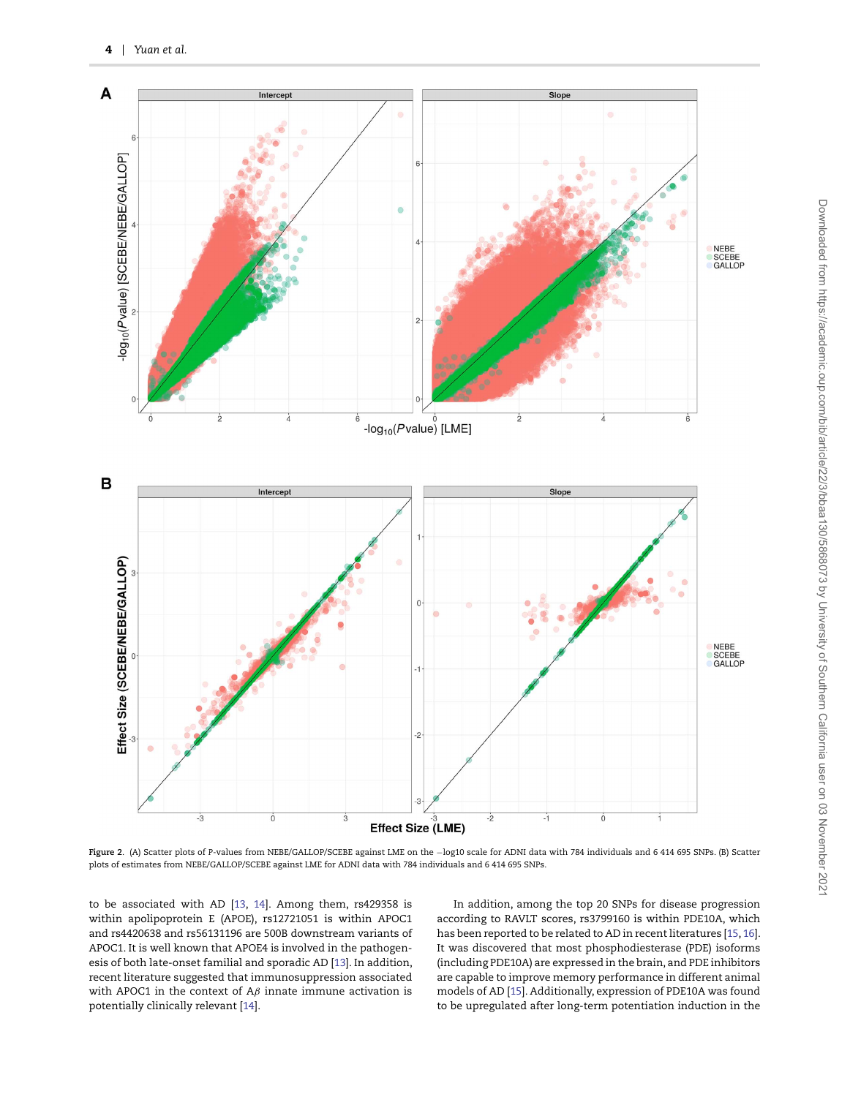

<span id="page-3-0"></span>**Figure 2**. (A) Scatter plots of *P*-values from NEBE/GALLOP/SCEBE against LME on the −log10 scale for ADNI data with 784 individuals and 6 414 695 SNPs. (B) Scatter plots of estimates from NEBE/GALLOP/SCEBE against LME for ADNI data with 784 individuals and 6 414 695 SNPs.

to be associated with AD [\[13,](#page-7-1) [14\]](#page-7-2). Among them, rs429358 is within apolipoprotein E (APOE), rs12721051 is within APOC1 and rs4420638 and rs56131196 are 500B downstream variants of APOC1. It is well known that APOE4 is involved in the pathogenesis of both late-onset familial and sporadic AD [\[13\]](#page-7-1). In addition, recent literature suggested that immunosuppression associated with APOC1 in the context of A*β* innate immune activation is potentially clinically relevant [\[14\]](#page-7-2).

In addition, among the top 20 SNPs for disease progression according to RAVLT scores, rs3799160 is within PDE10A, which has been reported to be related to AD in recent literatures [\[15,](#page-7-3) [16\]](#page-7-4). It was discovered that most phosphodiesterase (PDE) isoforms (including PDE10A) are expressed in the brain, and PDE inhibitors are capable to improve memory performance in different animal models of AD [\[15\]](#page-7-3). Additionally, expression of PDE10A was found to be upregulated after long-term potentiation induction in the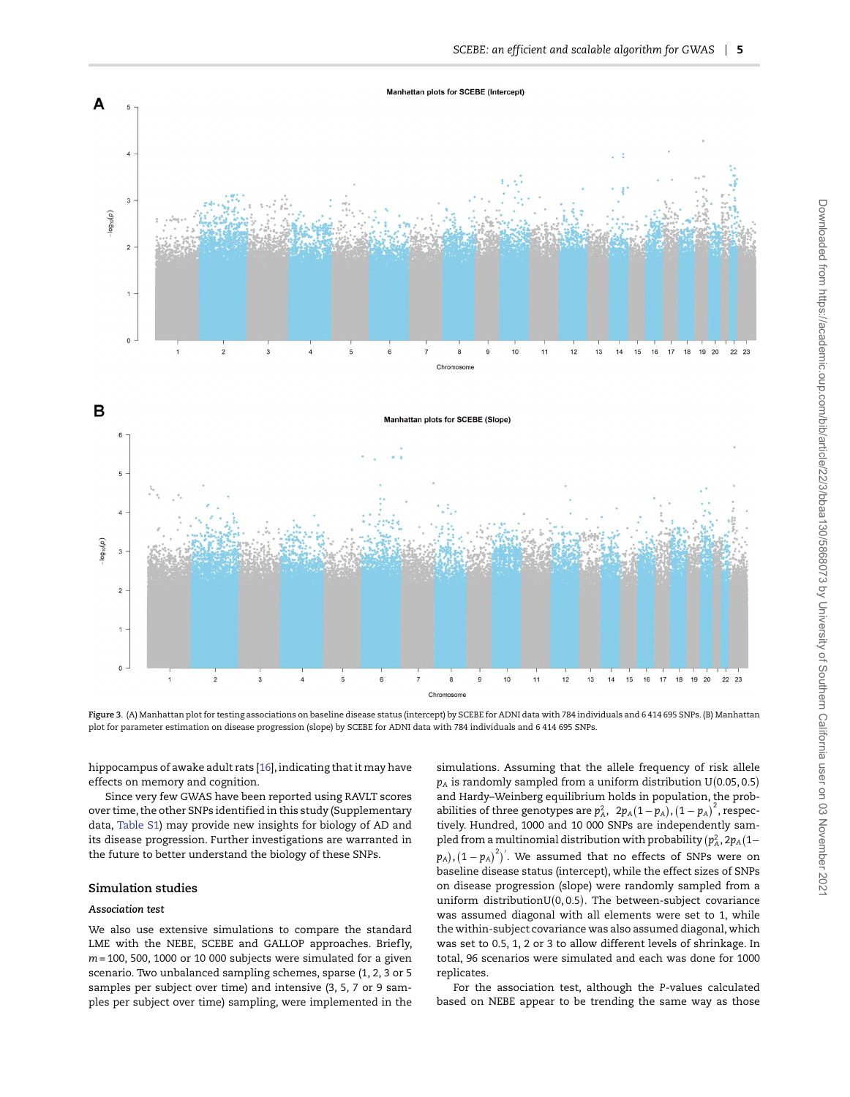

<span id="page-4-0"></span>**Figure 3**. (A) Manhattan plot for testing associations on baseline disease status (intercept) by SCEBE for ADNI data with 784 individuals and 6 414 695 SNPs. (B) Manhattan plot for parameter estimation on disease progression (slope) by SCEBE for ADNI data with 784 individuals and 6 414 695 SNPs.

hippocampus of awake adult rats [\[16\]](#page-7-4), indicating that it may have effects on memory and cognition.

Since very few GWAS have been reported using RAVLT scores over time, the other SNPs identified in this study (Supplementary data, [Table S1\)](https://academic.oup.com/bib/article-lookup/doi/10.1093/bib/bbaa130#supplementary-data) may provide new insights for biology of AD and its disease progression. Further investigations are warranted in the future to better understand the biology of these SNPs.

#### **Simulation studies**

#### *Association test*

We also use extensive simulations to compare the standard LME with the NEBE, SCEBE and GALLOP approaches. Briefly, *m* = 100, 500, 1000 or 10 000 subjects were simulated for a given scenario. Two unbalanced sampling schemes, sparse (1, 2, 3 or 5 samples per subject over time) and intensive (3, 5, 7 or 9 samples per subject over time) sampling, were implemented in the simulations. Assuming that the allele frequency of risk allele  $p_{\rm A}$  is randomly sampled from a uniform distribution U(0.05, 0.5) and Hardy–Weinberg equilibrium holds in population, the probabilities of three genotypes are  $p_A^2$ ,  $2p_A(1-p_A)$ ,  $(1-p_A)^2$ , respectively. Hundred, 1000 and 10 000 SNPs are independently sampled from a multinomial distribution with probability  $(p^2_A, 2p_A(1-p_A))$  $(p_A)$ ,  $(1-p_A)^2$ <sup>'</sup>. We assumed that no effects of SNPs were on baseline disease status (intercept), while the effect sizes of SNPs on disease progression (slope) were randomly sampled from a  $\text{uniform distribution} \mathrm{U}(0, 0.5).$  The between-subject covariance was assumed diagonal with all elements were set to 1, while the within-subject covariance was also assumed diagonal, which was set to 0.5, 1, 2 or 3 to allow different levels of shrinkage. In total, 96 scenarios were simulated and each was done for 1000 replicates.

For the association test, although the *P*-values calculated based on NEBE appear to be trending the same way as those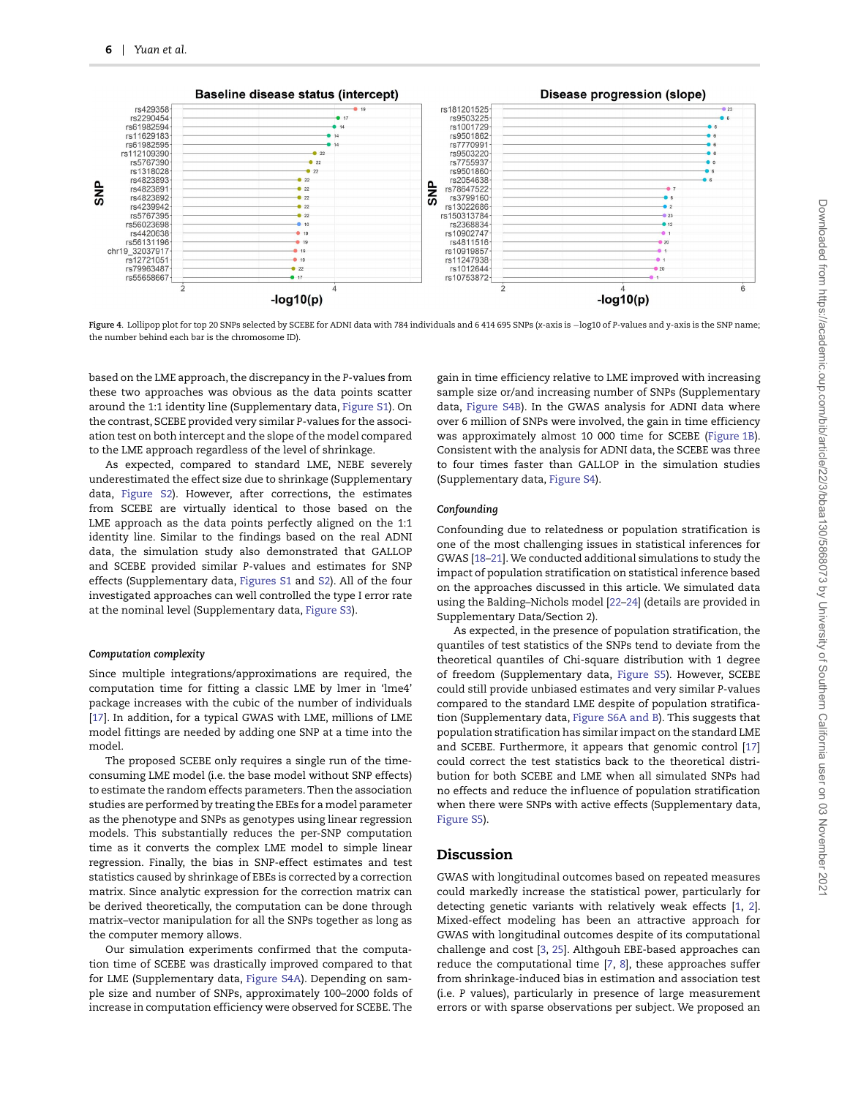

<span id="page-5-0"></span>**Figure 4**. Lollipop plot for top 20 SNPs selected by SCEBE for ADNI data with 784 individuals and 6 414 695 SNPs (*x*-axis is −log10 of *P*-values and *y*-axis is the SNP name; the number behind each bar is the chromosome ID).

based on the LME approach, the discrepancy in the *P*-values from these two approaches was obvious as the data points scatter around the 1:1 identity line (Supplementary data, [Figure S1\)](https://academic.oup.com/bib/article-lookup/doi/10.1093/bib/bbaa130#supplementary-data). On the contrast, SCEBE provided very similar *P*-values for the association test on both intercept and the slope of the model compared to the LME approach regardless of the level of shrinkage.

As expected, compared to standard LME, NEBE severely underestimated the effect size due to shrinkage (Supplementary data, [Figure S2\)](https://academic.oup.com/bib/article-lookup/doi/10.1093/bib/bbaa130#supplementary-data). However, after corrections, the estimates from SCEBE are virtually identical to those based on the LME approach as the data points perfectly aligned on the 1:1 identity line. Similar to the findings based on the real ADNI data, the simulation study also demonstrated that GALLOP and SCEBE provided similar *P*-values and estimates for SNP effects (Supplementary data, [Figures S1](https://academic.oup.com/bib/article-lookup/doi/10.1093/bib/bbaa130#supplementary-data) and [S2\)](https://academic.oup.com/bib/article-lookup/doi/10.1093/bib/bbaa130#supplementary-data). All of the four investigated approaches can well controlled the type I error rate at the nominal level (Supplementary data, [Figure S3\)](https://academic.oup.com/bib/article-lookup/doi/10.1093/bib/bbaa130#supplementary-data).

#### *Computation complexity*

Since multiple integrations/approximations are required, the computation time for fitting a classic LME by lmer in 'lme4' package increases with the cubic of the number of individuals [\[17\]](#page-7-5). In addition, for a typical GWAS with LME, millions of LME model fittings are needed by adding one SNP at a time into the model.

The proposed SCEBE only requires a single run of the timeconsuming LME model (i.e. the base model without SNP effects) to estimate the random effects parameters. Then the association studies are performed by treating the EBEs for a model parameter as the phenotype and SNPs as genotypes using linear regression models. This substantially reduces the per-SNP computation time as it converts the complex LME model to simple linear regression. Finally, the bias in SNP-effect estimates and test statistics caused by shrinkage of EBEs is corrected by a correction matrix. Since analytic expression for the correction matrix can be derived theoretically, the computation can be done through matrix–vector manipulation for all the SNPs together as long as the computer memory allows.

Our simulation experiments confirmed that the computation time of SCEBE was drastically improved compared to that for LME (Supplementary data, [Figure S4A\)](https://academic.oup.com/bib/article-lookup/doi/10.1093/bib/bbaa130#supplementary-data). Depending on sample size and number of SNPs, approximately 100–2000 folds of increase in computation efficiency were observed for SCEBE. The gain in time efficiency relative to LME improved with increasing sample size or/and increasing number of SNPs (Supplementary data, [Figure S4B\)](https://academic.oup.com/bib/article-lookup/doi/10.1093/bib/bbaa130#supplementary-data). In the GWAS analysis for ADNI data where over 6 million of SNPs were involved, the gain in time efficiency was approximately almost 10 000 time for SCEBE [\(Figure 1B\)](#page-2-0). Consistent with the analysis for ADNI data, the SCEBE was three to four times faster than GALLOP in the simulation studies (Supplementary data, [Figure S4\)](https://academic.oup.com/bib/article-lookup/doi/10.1093/bib/bbaa130#supplementary-data).

#### *Confounding*

Confounding due to relatedness or population stratification is one of the most challenging issues in statistical inferences for GWAS [\[18](#page-7-6)[–21\]](#page-7-7).We conducted additional simulations to study the impact of population stratification on statistical inference based on the approaches discussed in this article. We simulated data using the Balding–Nichols model [\[22–](#page-7-8)[24\]](#page-7-9) (details are provided in Supplementary Data/Section 2).

As expected, in the presence of population stratification, the quantiles of test statistics of the SNPs tend to deviate from the theoretical quantiles of Chi-square distribution with 1 degree of freedom (Supplementary data, [Figure S5\)](https://academic.oup.com/bib/article-lookup/doi/10.1093/bib/bbaa130#supplementary-data). However, SCEBE could still provide unbiased estimates and very similar *P*-values compared to the standard LME despite of population stratification (Supplementary data, [Figure S6A and B\)](https://academic.oup.com/bib/article-lookup/doi/10.1093/bib/bbaa130#supplementary-data). This suggests that population stratification has similar impact on the standard LME and SCEBE. Furthermore, it appears that genomic control [\[17\]](#page-7-5) could correct the test statistics back to the theoretical distribution for both SCEBE and LME when all simulated SNPs had no effects and reduce the influence of population stratification when there were SNPs with active effects (Supplementary data, [Figure S5\)](https://academic.oup.com/bib/article-lookup/doi/10.1093/bib/bbaa130#supplementary-data).

## **Discussion**

GWAS with longitudinal outcomes based on repeated measures could markedly increase the statistical power, particularly for detecting genetic variants with relatively weak effects [\[1,](#page-6-0) [2\]](#page-6-1). Mixed-effect modeling has been an attractive approach for GWAS with longitudinal outcomes despite of its computational challenge and cost [\[3,](#page-6-2) [25\]](#page-7-10). Althgouh EBE-based approaches can reduce the computational time [\[7,](#page-6-6) [8\]](#page-6-7), these approaches suffer from shrinkage-induced bias in estimation and association test (i.e. *P* values), particularly in presence of large measurement errors or with sparse observations per subject. We proposed an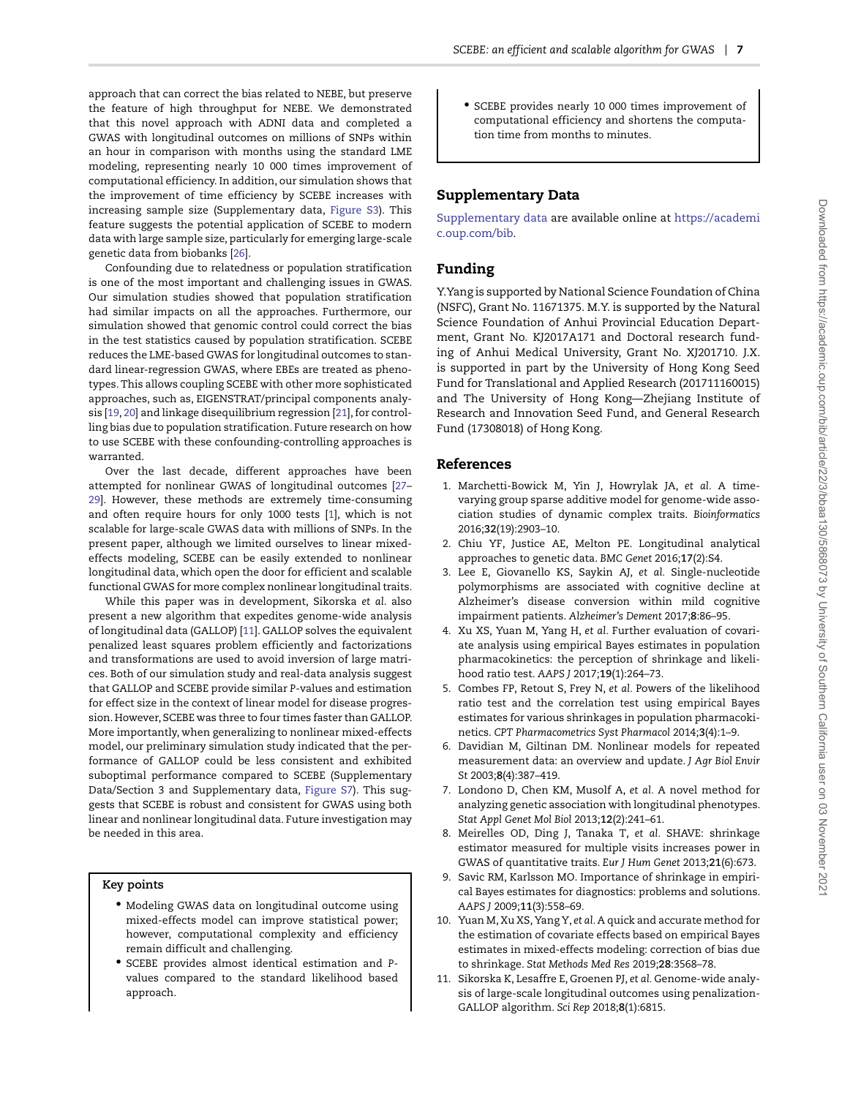approach that can correct the bias related to NEBE, but preserve the feature of high throughput for NEBE. We demonstrated that this novel approach with ADNI data and completed a GWAS with longitudinal outcomes on millions of SNPs within an hour in comparison with months using the standard LME modeling, representing nearly 10 000 times improvement of computational efficiency. In addition, our simulation shows that the improvement of time efficiency by SCEBE increases with increasing sample size (Supplementary data, [Figure S3\)](https://academic.oup.com/bib/article-lookup/doi/10.1093/bib/bbaa130#supplementary-data). This feature suggests the potential application of SCEBE to modern data with large sample size, particularly for emerging large-scale genetic data from biobanks [\[26\]](#page-7-11).

Confounding due to relatedness or population stratification is one of the most important and challenging issues in GWAS. Our simulation studies showed that population stratification had similar impacts on all the approaches. Furthermore, our simulation showed that genomic control could correct the bias in the test statistics caused by population stratification. SCEBE reduces the LME-based GWAS for longitudinal outcomes to standard linear-regression GWAS, where EBEs are treated as phenotypes. This allows coupling SCEBE with other more sophisticated approaches, such as, EIGENSTRAT/principal components analysis [\[19,](#page-7-12) [20\]](#page-7-13) and linkage disequilibrium regression [\[21\]](#page-7-7), for controlling bias due to population stratification. Future research on how to use SCEBE with these confounding-controlling approaches is warranted.

Over the last decade, different approaches have been attempted for nonlinear GWAS of longitudinal outcomes [\[27–](#page-7-14) [29\]](#page-7-15). However, these methods are extremely time-consuming and often require hours for only 1000 tests [\[1\]](#page-6-0), which is not scalable for large-scale GWAS data with millions of SNPs. In the present paper, although we limited ourselves to linear mixedeffects modeling, SCEBE can be easily extended to nonlinear longitudinal data, which open the door for efficient and scalable functional GWAS for more complex nonlinear longitudinal traits.

While this paper was in development, Sikorska *et al*. also present a new algorithm that expedites genome-wide analysis of longitudinal data (GALLOP) [\[11\]](#page-6-10). GALLOP solves the equivalent penalized least squares problem efficiently and factorizations and transformations are used to avoid inversion of large matrices. Both of our simulation study and real-data analysis suggest that GALLOP and SCEBE provide similar *P*-values and estimation for effect size in the context of linear model for disease progression. However, SCEBE was three to four times faster than GALLOP. More importantly, when generalizing to nonlinear mixed-effects model, our preliminary simulation study indicated that the performance of GALLOP could be less consistent and exhibited suboptimal performance compared to SCEBE (Supplementary Data/Section 3 and Supplementary data, [Figure S7\)](https://academic.oup.com/bib/article-lookup/doi/10.1093/bib/bbaa130#supplementary-data). This suggests that SCEBE is robust and consistent for GWAS using both linear and nonlinear longitudinal data. Future investigation may be needed in this area.

## **Key points**

- Modeling GWAS data on longitudinal outcome using mixed-effects model can improve statistical power; however, computational complexity and efficiency remain difficult and challenging.
- SCEBE provides almost identical estimation and *P*values compared to the standard likelihood based approach.

• SCEBE provides nearly 10 000 times improvement of computational efficiency and shortens the computation time from months to minutes.

## **Supplementary Data**

[Supplementary data](https://academic.oup.com/bib/article-lookup/doi/10.1093/bib/bbaa130#supplementary-data) are available online at [https://academi](https://academic.oup.com/bib) [c.oup.com/bib.](https://academic.oup.com/bib)

## **Funding**

Y.Yang is supported by National Science Foundation of China (NSFC), Grant No. 11671375. M.Y. is supported by the Natural Science Foundation of Anhui Provincial Education Department, Grant No. KJ2017A171 and Doctoral research funding of Anhui Medical University, Grant No. XJ201710. J.X. is supported in part by the University of Hong Kong Seed Fund for Translational and Applied Research (201711160015) and The University of Hong Kong—Zhejiang Institute of Research and Innovation Seed Fund, and General Research Fund (17308018) of Hong Kong.

## **References**

- <span id="page-6-0"></span>1. Marchetti-Bowick M, Yin J, Howrylak JA, *et al.* A timevarying group sparse additive model for genome-wide association studies of dynamic complex traits. *Bioinformatics* 2016;**32**(19):2903–10.
- <span id="page-6-1"></span>2. Chiu YF, Justice AE, Melton PE. Longitudinal analytical approaches to genetic data. *BMC Genet* 2016;**17**(2):S4.
- <span id="page-6-2"></span>3. Lee E, Giovanello KS, Saykin AJ, *et al.* Single-nucleotide polymorphisms are associated with cognitive decline at Alzheimer's disease conversion within mild cognitive impairment patients. *Alzheimer's Dement* 2017;**8**:86–95.
- <span id="page-6-3"></span>4. Xu XS, Yuan M, Yang H, *et al.* Further evaluation of covariate analysis using empirical Bayes estimates in population pharmacokinetics: the perception of shrinkage and likelihood ratio test. *AAPS J* 2017;**19**(1):264–73.
- <span id="page-6-4"></span>5. Combes FP, Retout S, Frey N, *et al.* Powers of the likelihood ratio test and the correlation test using empirical Bayes estimates for various shrinkages in population pharmacokinetics. *CPT Pharmacometrics Syst Pharmacol* 2014;**3**(4):1–9.
- <span id="page-6-5"></span>6. Davidian M, Giltinan DM. Nonlinear models for repeated measurement data: an overview and update. *J Agr Biol Envir St* 2003;**8**(4):387–419.
- <span id="page-6-6"></span>7. Londono D, Chen KM, Musolf A, *et al.* A novel method for analyzing genetic association with longitudinal phenotypes. *Stat Appl Genet Mol Biol* 2013;**12**(2):241–61.
- <span id="page-6-7"></span>8. Meirelles OD, Ding J, Tanaka T, *et al.* SHAVE: shrinkage estimator measured for multiple visits increases power in GWAS of quantitative traits. *Eur J Hum Genet* 2013;**21**(6):673.
- <span id="page-6-8"></span>9. Savic RM, Karlsson MO. Importance of shrinkage in empirical Bayes estimates for diagnostics: problems and solutions. *AAPS J* 2009;**11**(3):558–69.
- <span id="page-6-9"></span>10. Yuan M, Xu XS, Yang Y, *et al.* A quick and accurate method for the estimation of covariate effects based on empirical Bayes estimates in mixed-effects modeling: correction of bias due to shrinkage. *Stat Methods Med Res* 2019;**28**:3568–78.
- <span id="page-6-10"></span>11. Sikorska K, Lesaffre E, Groenen PJ, *et al.* Genome-wide analysis of large-scale longitudinal outcomes using penalization-GALLOP algorithm. *Sci Rep* 2018;**8**(1):6815.